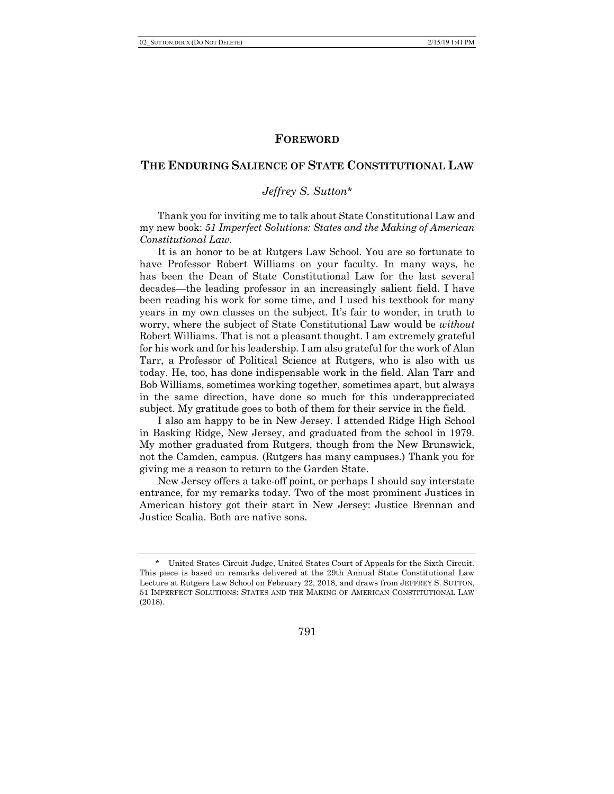## **FOREWORD**

## **THE ENDURING SALIENCE OF STATE CONSTITUTIONAL LAW**

# *Jeffrey S. Sutton*\*

Thank you for inviting me to talk about State Constitutional Law and my new book: *51 Imperfect Solutions: States and the Making of American Constitutional Law*.

It is an honor to be at Rutgers Law School. You are so fortunate to have Professor Robert Williams on your faculty. In many ways, he has been the Dean of State Constitutional Law for the last several decades—the leading professor in an increasingly salient field. I have been reading his work for some time, and I used his textbook for many years in my own classes on the subject. It's fair to wonder, in truth to worry, where the subject of State Constitutional Law would be *without*  Robert Williams. That is not a pleasant thought. I am extremely grateful for his work and for his leadership. I am also grateful for the work of Alan Tarr, a Professor of Political Science at Rutgers, who is also with us today. He, too, has done indispensable work in the field. Alan Tarr and Bob Williams, sometimes working together, sometimes apart, but always in the same direction, have done so much for this underappreciated subject. My gratitude goes to both of them for their service in the field.

I also am happy to be in New Jersey. I attended Ridge High School in Basking Ridge, New Jersey, and graduated from the school in 1979. My mother graduated from Rutgers, though from the New Brunswick, not the Camden, campus. (Rutgers has many campuses.) Thank you for giving me a reason to return to the Garden State.

New Jersey offers a take-off point, or perhaps I should say interstate entrance, for my remarks today. Two of the most prominent Justices in American history got their start in New Jersey: Justice Brennan and Justice Scalia. Both are native sons.

791

<sup>\*</sup> United States Circuit Judge, United States Court of Appeals for the Sixth Circuit. This piece is based on remarks delivered at the 29th Annual State Constitutional Law Lecture at Rutgers Law School on February 22, 2018, and draws from JEFFREY S. SUTTON, 51 IMPERFECT SOLUTIONS: STATES AND THE MAKING OF AMERICAN CONSTITUTIONAL LAW (2018).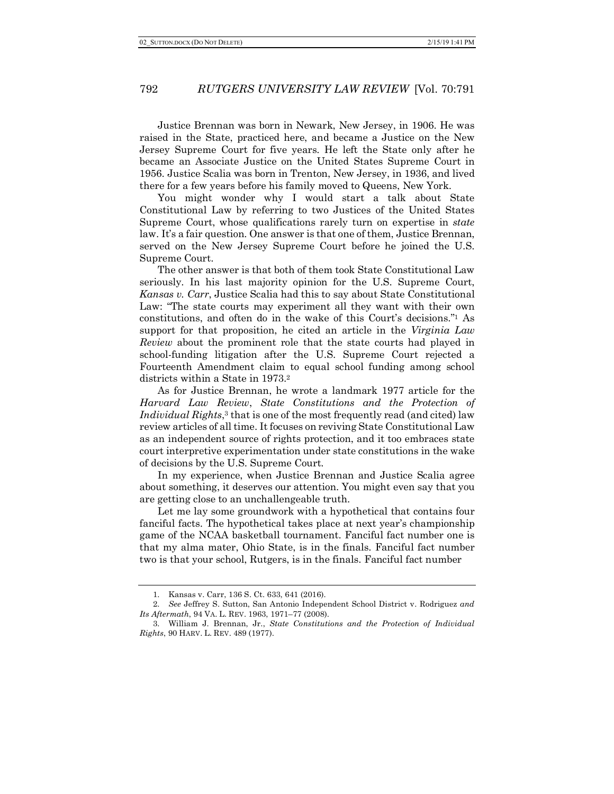Justice Brennan was born in Newark, New Jersey, in 1906. He was raised in the State, practiced here, and became a Justice on the New Jersey Supreme Court for five years. He left the State only after he became an Associate Justice on the United States Supreme Court in 1956. Justice Scalia was born in Trenton, New Jersey, in 1936, and lived there for a few years before his family moved to Queens, New York.

You might wonder why I would start a talk about State Constitutional Law by referring to two Justices of the United States Supreme Court, whose qualifications rarely turn on expertise in *state*  law. It's a fair question. One answer is that one of them, Justice Brennan, served on the New Jersey Supreme Court before he joined the U.S. Supreme Court.

The other answer is that both of them took State Constitutional Law seriously. In his last majority opinion for the U.S. Supreme Court, *Kansas v. Carr*, Justice Scalia had this to say about State Constitutional Law: "The state courts may experiment all they want with their own constitutions, and often do in the wake of this Court's decisions."1 As support for that proposition, he cited an article in the *Virginia Law Review* about the prominent role that the state courts had played in school-funding litigation after the U.S. Supreme Court rejected a Fourteenth Amendment claim to equal school funding among school districts within a State in 1973.2

As for Justice Brennan, he wrote a landmark 1977 article for the *Harvard Law Review*, *State Constitutions and the Protection of Individual Rights*,<sup>3</sup> that is one of the most frequently read (and cited) law review articles of all time. It focuses on reviving State Constitutional Law as an independent source of rights protection, and it too embraces state court interpretive experimentation under state constitutions in the wake of decisions by the U.S. Supreme Court.

In my experience, when Justice Brennan and Justice Scalia agree about something, it deserves our attention. You might even say that you are getting close to an unchallengeable truth.

Let me lay some groundwork with a hypothetical that contains four fanciful facts. The hypothetical takes place at next year's championship game of the NCAA basketball tournament. Fanciful fact number one is that my alma mater, Ohio State, is in the finals. Fanciful fact number two is that your school, Rutgers, is in the finals. Fanciful fact number

<sup>1.</sup> Kansas v. Carr, 136 S. Ct. 633, 641 (2016).

<sup>2.</sup> *See* Jeffrey S. Sutton, San Antonio Independent School District v. Rodriguez *and Its Aftermath*, 94 VA. L. REV. 1963, 1971–77 (2008).

<sup>3.</sup> William J. Brennan, Jr., *State Constitutions and the Protection of Individual Rights*, 90 HARV. L. REV. 489 (1977).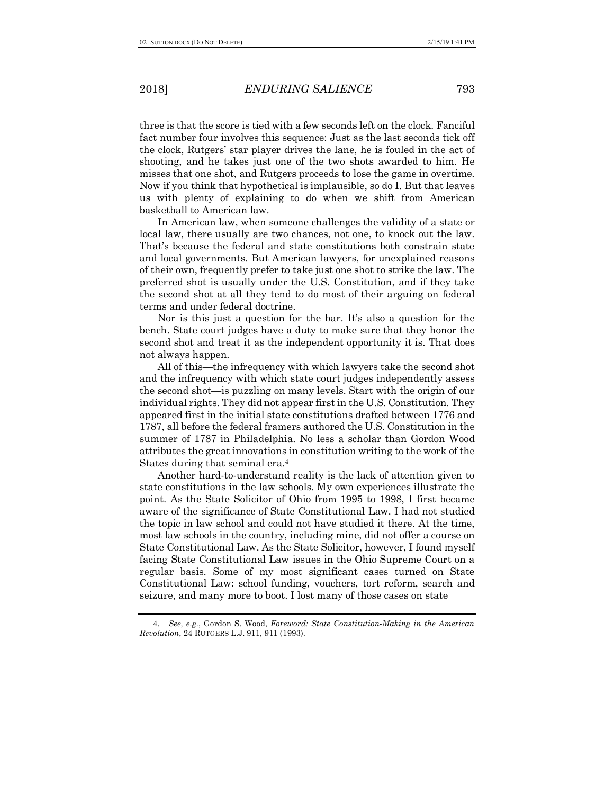three is that the score is tied with a few seconds left on the clock. Fanciful fact number four involves this sequence: Just as the last seconds tick off the clock, Rutgers' star player drives the lane, he is fouled in the act of shooting, and he takes just one of the two shots awarded to him. He misses that one shot, and Rutgers proceeds to lose the game in overtime. Now if you think that hypothetical is implausible, so do I. But that leaves us with plenty of explaining to do when we shift from American basketball to American law.

In American law, when someone challenges the validity of a state or local law, there usually are two chances, not one, to knock out the law. That's because the federal and state constitutions both constrain state and local governments. But American lawyers, for unexplained reasons of their own, frequently prefer to take just one shot to strike the law. The preferred shot is usually under the U.S. Constitution, and if they take the second shot at all they tend to do most of their arguing on federal terms and under federal doctrine.

Nor is this just a question for the bar. It's also a question for the bench. State court judges have a duty to make sure that they honor the second shot and treat it as the independent opportunity it is. That does not always happen.

All of this—the infrequency with which lawyers take the second shot and the infrequency with which state court judges independently assess the second shot—is puzzling on many levels. Start with the origin of our individual rights. They did not appear first in the U.S. Constitution. They appeared first in the initial state constitutions drafted between 1776 and 1787, all before the federal framers authored the U.S. Constitution in the summer of 1787 in Philadelphia. No less a scholar than Gordon Wood attributes the great innovations in constitution writing to the work of the States during that seminal era.4

Another hard-to-understand reality is the lack of attention given to state constitutions in the law schools. My own experiences illustrate the point. As the State Solicitor of Ohio from 1995 to 1998, I first became aware of the significance of State Constitutional Law. I had not studied the topic in law school and could not have studied it there. At the time, most law schools in the country, including mine, did not offer a course on State Constitutional Law. As the State Solicitor, however, I found myself facing State Constitutional Law issues in the Ohio Supreme Court on a regular basis. Some of my most significant cases turned on State Constitutional Law: school funding, vouchers, tort reform, search and seizure, and many more to boot. I lost many of those cases on state

<sup>4.</sup> *See, e.g.*, Gordon S. Wood, *Foreword: State Constitution-Making in the American Revolution*, 24 RUTGERS L.J. 911, 911 (1993).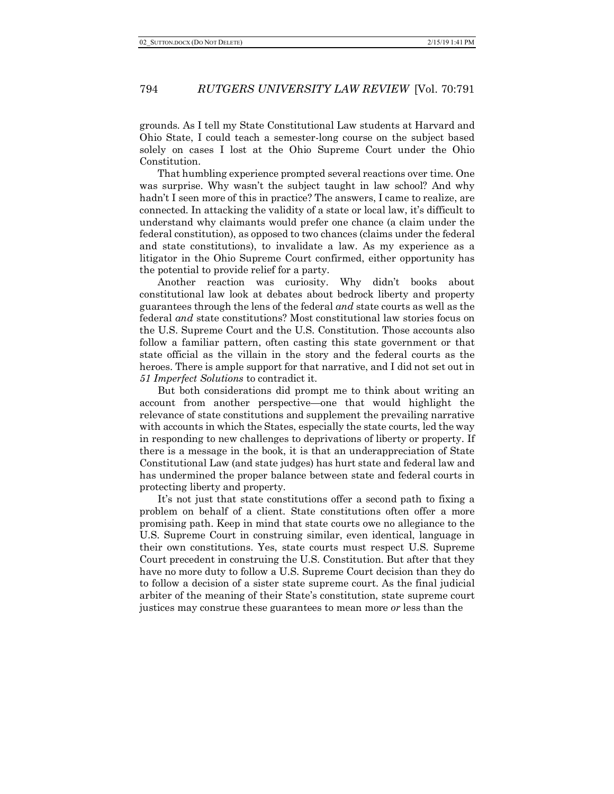grounds. As I tell my State Constitutional Law students at Harvard and Ohio State, I could teach a semester-long course on the subject based solely on cases I lost at the Ohio Supreme Court under the Ohio Constitution.

That humbling experience prompted several reactions over time. One was surprise. Why wasn't the subject taught in law school? And why hadn't I seen more of this in practice? The answers, I came to realize, are connected. In attacking the validity of a state or local law, it's difficult to understand why claimants would prefer one chance (a claim under the federal constitution), as opposed to two chances (claims under the federal and state constitutions), to invalidate a law. As my experience as a litigator in the Ohio Supreme Court confirmed, either opportunity has the potential to provide relief for a party.

Another reaction was curiosity. Why didn't books about constitutional law look at debates about bedrock liberty and property guarantees through the lens of the federal *and* state courts as well as the federal *and* state constitutions? Most constitutional law stories focus on the U.S. Supreme Court and the U.S. Constitution. Those accounts also follow a familiar pattern, often casting this state government or that state official as the villain in the story and the federal courts as the heroes. There is ample support for that narrative, and I did not set out in *51 Imperfect Solutions* to contradict it.

But both considerations did prompt me to think about writing an account from another perspective—one that would highlight the relevance of state constitutions and supplement the prevailing narrative with accounts in which the States, especially the state courts, led the way in responding to new challenges to deprivations of liberty or property. If there is a message in the book, it is that an underappreciation of State Constitutional Law (and state judges) has hurt state and federal law and has undermined the proper balance between state and federal courts in protecting liberty and property.

It's not just that state constitutions offer a second path to fixing a problem on behalf of a client. State constitutions often offer a more promising path. Keep in mind that state courts owe no allegiance to the U.S. Supreme Court in construing similar, even identical, language in their own constitutions. Yes, state courts must respect U.S. Supreme Court precedent in construing the U.S. Constitution. But after that they have no more duty to follow a U.S. Supreme Court decision than they do to follow a decision of a sister state supreme court. As the final judicial arbiter of the meaning of their State's constitution, state supreme court justices may construe these guarantees to mean more *or* less than the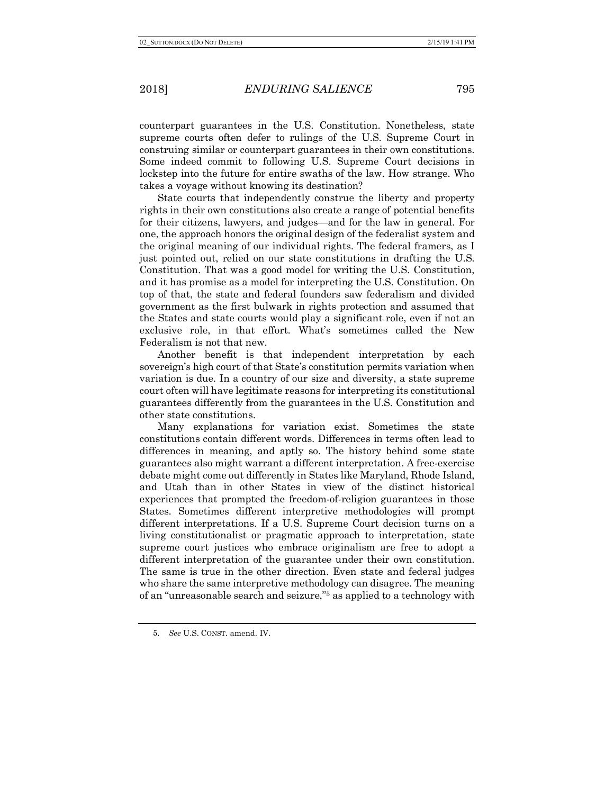counterpart guarantees in the U.S. Constitution. Nonetheless, state supreme courts often defer to rulings of the U.S. Supreme Court in construing similar or counterpart guarantees in their own constitutions. Some indeed commit to following U.S. Supreme Court decisions in lockstep into the future for entire swaths of the law. How strange. Who takes a voyage without knowing its destination?

State courts that independently construe the liberty and property rights in their own constitutions also create a range of potential benefits for their citizens, lawyers, and judges—and for the law in general. For one, the approach honors the original design of the federalist system and the original meaning of our individual rights. The federal framers, as I just pointed out, relied on our state constitutions in drafting the U.S. Constitution. That was a good model for writing the U.S. Constitution, and it has promise as a model for interpreting the U.S. Constitution. On top of that, the state and federal founders saw federalism and divided government as the first bulwark in rights protection and assumed that the States and state courts would play a significant role, even if not an exclusive role, in that effort. What's sometimes called the New Federalism is not that new.

Another benefit is that independent interpretation by each sovereign's high court of that State's constitution permits variation when variation is due. In a country of our size and diversity, a state supreme court often will have legitimate reasons for interpreting its constitutional guarantees differently from the guarantees in the U.S. Constitution and other state constitutions.

Many explanations for variation exist. Sometimes the state constitutions contain different words. Differences in terms often lead to differences in meaning, and aptly so. The history behind some state guarantees also might warrant a different interpretation. A free-exercise debate might come out differently in States like Maryland, Rhode Island, and Utah than in other States in view of the distinct historical experiences that prompted the freedom-of-religion guarantees in those States. Sometimes different interpretive methodologies will prompt different interpretations. If a U.S. Supreme Court decision turns on a living constitutionalist or pragmatic approach to interpretation, state supreme court justices who embrace originalism are free to adopt a different interpretation of the guarantee under their own constitution. The same is true in the other direction. Even state and federal judges who share the same interpretive methodology can disagree. The meaning of an "unreasonable search and seizure,"5 as applied to a technology with

<sup>5.</sup> *See* U.S. CONST. amend. IV.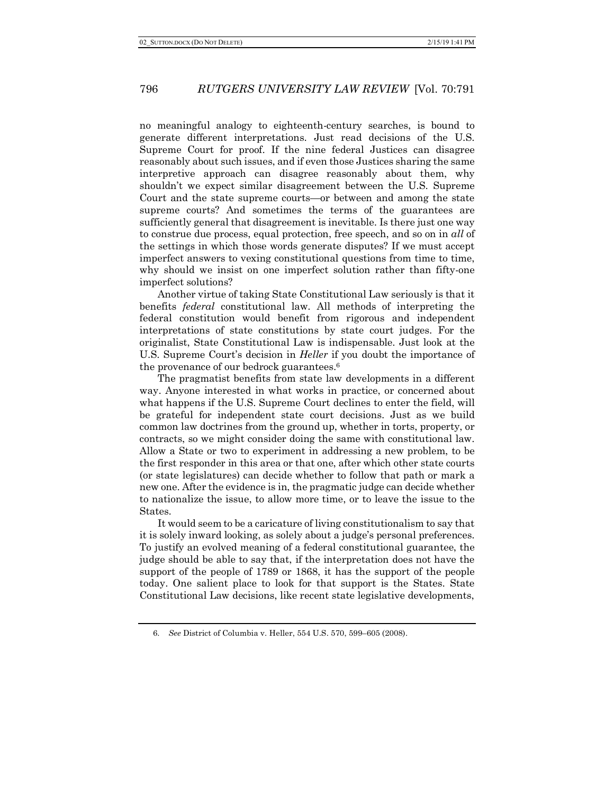no meaningful analogy to eighteenth-century searches, is bound to generate different interpretations. Just read decisions of the U.S. Supreme Court for proof. If the nine federal Justices can disagree reasonably about such issues, and if even those Justices sharing the same interpretive approach can disagree reasonably about them, why shouldn't we expect similar disagreement between the U.S. Supreme Court and the state supreme courts—or between and among the state supreme courts? And sometimes the terms of the guarantees are sufficiently general that disagreement is inevitable. Is there just one way to construe due process, equal protection, free speech, and so on in *all* of the settings in which those words generate disputes? If we must accept imperfect answers to vexing constitutional questions from time to time, why should we insist on one imperfect solution rather than fifty-one imperfect solutions?

Another virtue of taking State Constitutional Law seriously is that it benefits *federal* constitutional law. All methods of interpreting the federal constitution would benefit from rigorous and independent interpretations of state constitutions by state court judges. For the originalist, State Constitutional Law is indispensable. Just look at the U.S. Supreme Court's decision in *Heller* if you doubt the importance of the provenance of our bedrock guarantees.6

The pragmatist benefits from state law developments in a different way. Anyone interested in what works in practice, or concerned about what happens if the U.S. Supreme Court declines to enter the field, will be grateful for independent state court decisions. Just as we build common law doctrines from the ground up, whether in torts, property, or contracts, so we might consider doing the same with constitutional law. Allow a State or two to experiment in addressing a new problem, to be the first responder in this area or that one, after which other state courts (or state legislatures) can decide whether to follow that path or mark a new one. After the evidence is in, the pragmatic judge can decide whether to nationalize the issue, to allow more time, or to leave the issue to the States.

It would seem to be a caricature of living constitutionalism to say that it is solely inward looking, as solely about a judge's personal preferences. To justify an evolved meaning of a federal constitutional guarantee, the judge should be able to say that, if the interpretation does not have the support of the people of 1789 or 1868, it has the support of the people today. One salient place to look for that support is the States. State Constitutional Law decisions, like recent state legislative developments,

<sup>6.</sup> *See* District of Columbia v. Heller, 554 U.S. 570, 599–605 (2008).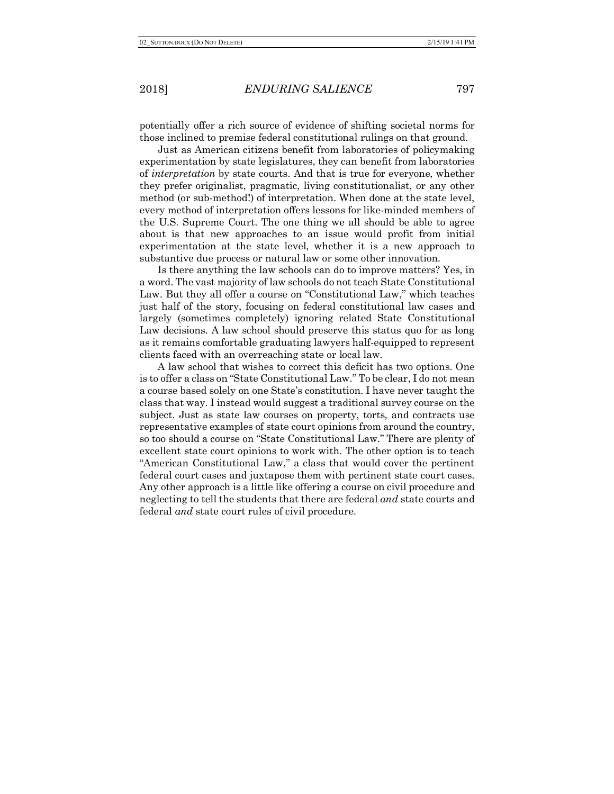potentially offer a rich source of evidence of shifting societal norms for those inclined to premise federal constitutional rulings on that ground.

Just as American citizens benefit from laboratories of policymaking experimentation by state legislatures, they can benefit from laboratories of *interpretation* by state courts. And that is true for everyone, whether they prefer originalist, pragmatic, living constitutionalist, or any other method (or sub-method!) of interpretation. When done at the state level, every method of interpretation offers lessons for like-minded members of the U.S. Supreme Court. The one thing we all should be able to agree about is that new approaches to an issue would profit from initial experimentation at the state level, whether it is a new approach to substantive due process or natural law or some other innovation.

Is there anything the law schools can do to improve matters? Yes, in a word. The vast majority of law schools do not teach State Constitutional Law. But they all offer a course on "Constitutional Law," which teaches just half of the story, focusing on federal constitutional law cases and largely (sometimes completely) ignoring related State Constitutional Law decisions. A law school should preserve this status quo for as long as it remains comfortable graduating lawyers half-equipped to represent clients faced with an overreaching state or local law.

A law school that wishes to correct this deficit has two options. One is to offer a class on "State Constitutional Law." To be clear, I do not mean a course based solely on one State's constitution. I have never taught the class that way. I instead would suggest a traditional survey course on the subject. Just as state law courses on property, torts, and contracts use representative examples of state court opinions from around the country, so too should a course on "State Constitutional Law." There are plenty of excellent state court opinions to work with. The other option is to teach "American Constitutional Law," a class that would cover the pertinent federal court cases and juxtapose them with pertinent state court cases. Any other approach is a little like offering a course on civil procedure and neglecting to tell the students that there are federal *and* state courts and federal *and* state court rules of civil procedure.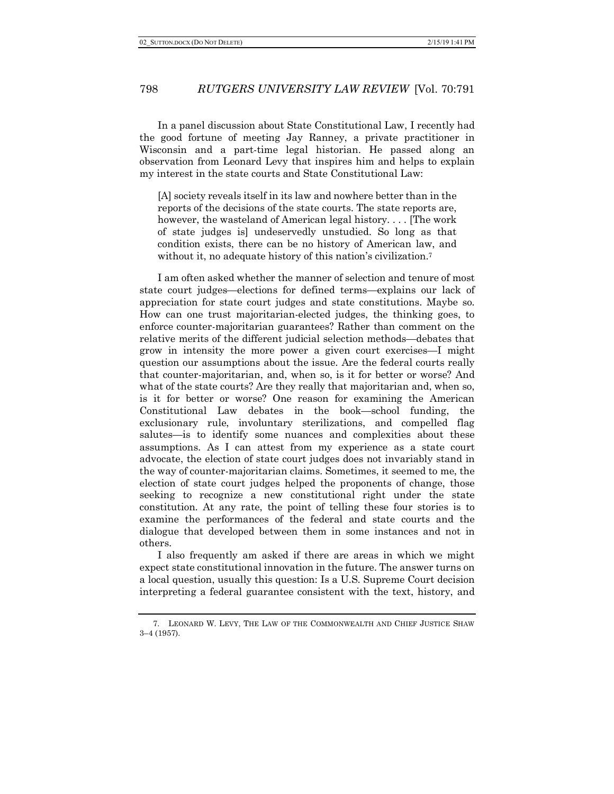In a panel discussion about State Constitutional Law, I recently had the good fortune of meeting Jay Ranney, a private practitioner in Wisconsin and a part-time legal historian. He passed along an observation from Leonard Levy that inspires him and helps to explain my interest in the state courts and State Constitutional Law:

[A] society reveals itself in its law and nowhere better than in the reports of the decisions of the state courts. The state reports are, however, the wasteland of American legal history. . . . [The work of state judges is] undeservedly unstudied. So long as that condition exists, there can be no history of American law, and without it, no adequate history of this nation's civilization.<sup>7</sup>

I am often asked whether the manner of selection and tenure of most state court judges—elections for defined terms—explains our lack of appreciation for state court judges and state constitutions. Maybe so. How can one trust majoritarian-elected judges, the thinking goes, to enforce counter-majoritarian guarantees? Rather than comment on the relative merits of the different judicial selection methods—debates that grow in intensity the more power a given court exercises—I might question our assumptions about the issue. Are the federal courts really that counter-majoritarian, and, when so, is it for better or worse? And what of the state courts? Are they really that majoritarian and, when so, is it for better or worse? One reason for examining the American Constitutional Law debates in the book—school funding, the exclusionary rule, involuntary sterilizations, and compelled flag salutes—is to identify some nuances and complexities about these assumptions. As I can attest from my experience as a state court advocate, the election of state court judges does not invariably stand in the way of counter-majoritarian claims. Sometimes, it seemed to me, the election of state court judges helped the proponents of change, those seeking to recognize a new constitutional right under the state constitution. At any rate, the point of telling these four stories is to examine the performances of the federal and state courts and the dialogue that developed between them in some instances and not in others.

I also frequently am asked if there are areas in which we might expect state constitutional innovation in the future. The answer turns on a local question, usually this question: Is a U.S. Supreme Court decision interpreting a federal guarantee consistent with the text, history, and

<sup>7.</sup> LEONARD W. LEVY, THE LAW OF THE COMMONWEALTH AND CHIEF JUSTICE SHAW 3–4 (1957).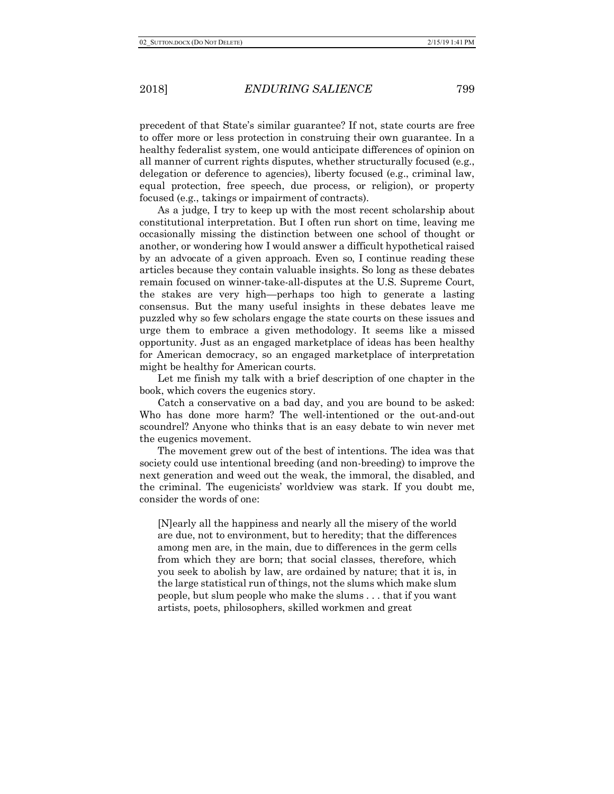precedent of that State's similar guarantee? If not, state courts are free to offer more or less protection in construing their own guarantee. In a healthy federalist system, one would anticipate differences of opinion on all manner of current rights disputes, whether structurally focused (e.g., delegation or deference to agencies), liberty focused (e.g., criminal law, equal protection, free speech, due process, or religion), or property focused (e.g., takings or impairment of contracts).

As a judge, I try to keep up with the most recent scholarship about constitutional interpretation. But I often run short on time, leaving me occasionally missing the distinction between one school of thought or another, or wondering how I would answer a difficult hypothetical raised by an advocate of a given approach. Even so, I continue reading these articles because they contain valuable insights. So long as these debates remain focused on winner-take-all-disputes at the U.S. Supreme Court, the stakes are very high—perhaps too high to generate a lasting consensus. But the many useful insights in these debates leave me puzzled why so few scholars engage the state courts on these issues and urge them to embrace a given methodology. It seems like a missed opportunity. Just as an engaged marketplace of ideas has been healthy for American democracy, so an engaged marketplace of interpretation might be healthy for American courts.

Let me finish my talk with a brief description of one chapter in the book, which covers the eugenics story.

Catch a conservative on a bad day, and you are bound to be asked: Who has done more harm? The well-intentioned or the out-and-out scoundrel? Anyone who thinks that is an easy debate to win never met the eugenics movement.

The movement grew out of the best of intentions. The idea was that society could use intentional breeding (and non-breeding) to improve the next generation and weed out the weak, the immoral, the disabled, and the criminal. The eugenicists' worldview was stark. If you doubt me, consider the words of one:

[N]early all the happiness and nearly all the misery of the world are due, not to environment, but to heredity; that the differences among men are, in the main, due to differences in the germ cells from which they are born; that social classes, therefore, which you seek to abolish by law, are ordained by nature; that it is, in the large statistical run of things, not the slums which make slum people, but slum people who make the slums . . . that if you want artists, poets, philosophers, skilled workmen and great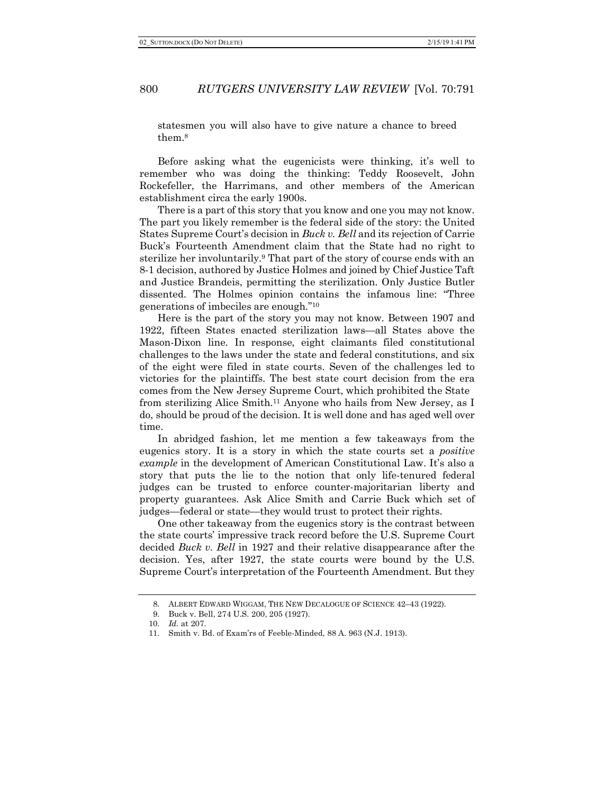statesmen you will also have to give nature a chance to breed them.8

Before asking what the eugenicists were thinking, it's well to remember who was doing the thinking: Teddy Roosevelt, John Rockefeller, the Harrimans, and other members of the American establishment circa the early 1900s.

There is a part of this story that you know and one you may not know. The part you likely remember is the federal side of the story: the United States Supreme Court's decision in *Buck v. Bell* and its rejection of Carrie Buck's Fourteenth Amendment claim that the State had no right to sterilize her involuntarily.9 That part of the story of course ends with an 8-1 decision, authored by Justice Holmes and joined by Chief Justice Taft and Justice Brandeis, permitting the sterilization. Only Justice Butler dissented. The Holmes opinion contains the infamous line: "Three generations of imbeciles are enough."10

Here is the part of the story you may not know. Between 1907 and 1922, fifteen States enacted sterilization laws—all States above the Mason-Dixon line. In response, eight claimants filed constitutional challenges to the laws under the state and federal constitutions, and six of the eight were filed in state courts. Seven of the challenges led to victories for the plaintiffs. The best state court decision from the era comes from the New Jersey Supreme Court, which prohibited the State from sterilizing Alice Smith.11 Anyone who hails from New Jersey, as I do, should be proud of the decision. It is well done and has aged well over time.

In abridged fashion, let me mention a few takeaways from the eugenics story. It is a story in which the state courts set a *positive example* in the development of American Constitutional Law. It's also a story that puts the lie to the notion that only life-tenured federal judges can be trusted to enforce counter-majoritarian liberty and property guarantees. Ask Alice Smith and Carrie Buck which set of judges—federal or state—they would trust to protect their rights.

One other takeaway from the eugenics story is the contrast between the state courts' impressive track record before the U.S. Supreme Court decided *Buck v. Bell* in 1927 and their relative disappearance after the decision. Yes, after 1927, the state courts were bound by the U.S. Supreme Court's interpretation of the Fourteenth Amendment. But they

<sup>8.</sup> ALBERT EDWARD WIGGAM, THE NEW DECALOGUE OF SCIENCE 42–43 (1922).

<sup>9.</sup> Buck v. Bell, 274 U.S. 200, 205 (1927).

<sup>10.</sup> *Id.* at 207.

<sup>11.</sup> Smith v. Bd. of Exam'rs of Feeble-Minded, 88 A. 963 (N.J. 1913).